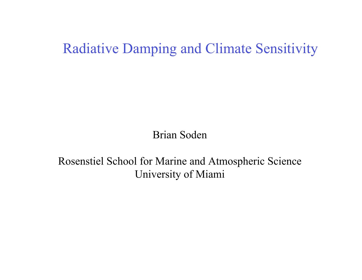## Radiative Damping and Climate Sensitivity

Brian Soden

Rosenstiel School for Marine and Atmospheric Science University of Miami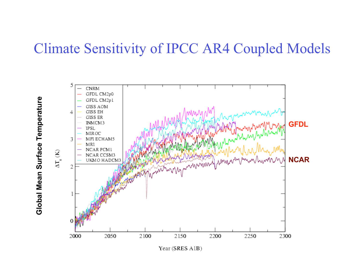## Climate Sensitivity of IPCC AR4 Coupled Models



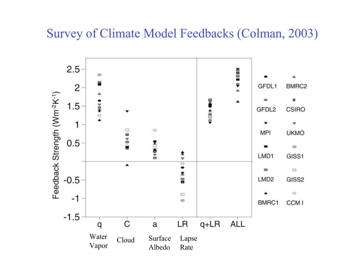#### Survey of Climate Model Feedbacks (Colman, 2003)

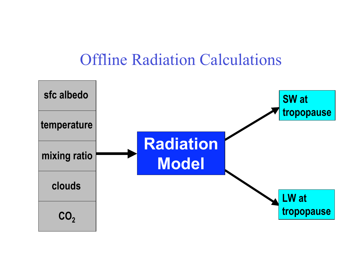# Offline Radiation Calculations

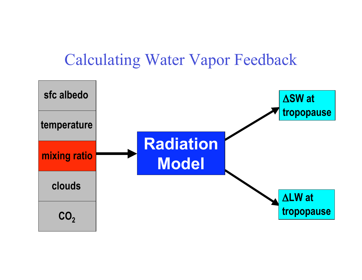# Calculating Water Vapor Feedback

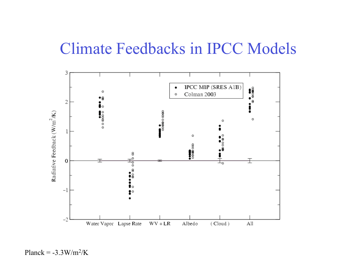# Climate Feedbacks in IPCC Models



Planck =  $-3.3 \text{W/m}^2/\text{K}$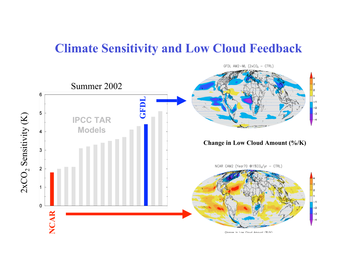#### **Climate Sensitivity and Low Cloud Feedback**

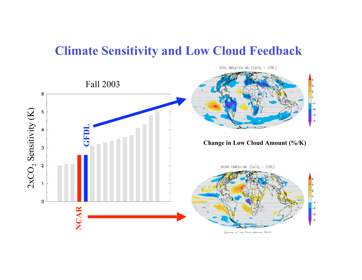#### **Climate Sensitivity and Low Cloud Feedback**

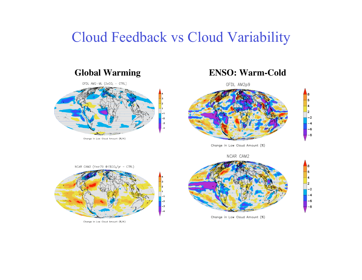## Cloud Feedback vs Cloud Variability



GFDL AM2p9



Change in Low Cloud Amount (%)





Change in Low Cloud Amount (%)





Change in Low Cloud Amount (%/K)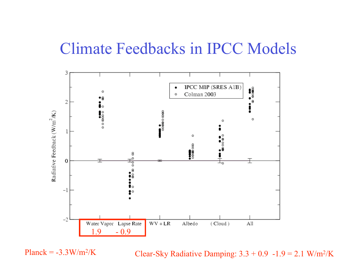## Climate Feedbacks in IPCC Models



Planck =  $-3.3$ W/m<sup>2</sup>/K

Clear-Sky Radiative Damping:  $3.3 + 0.9 - 1.9 = 2.1$  W/m<sup>2</sup>/K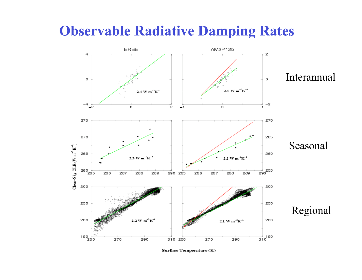## **Observable Radiative Damping Rates**



Surface Temperature (K)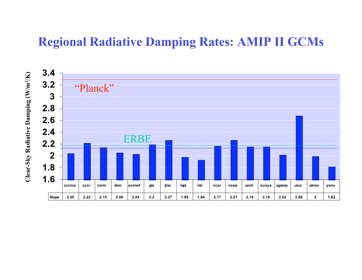### **Regional Radiative Damping Rates: AMIP II GCMs**

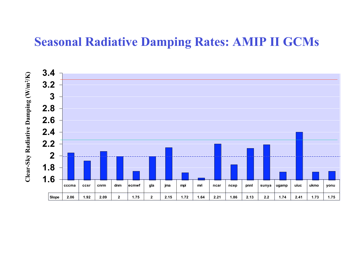### **Seasonal Radiative Damping Rates: AMIP II GCMs**